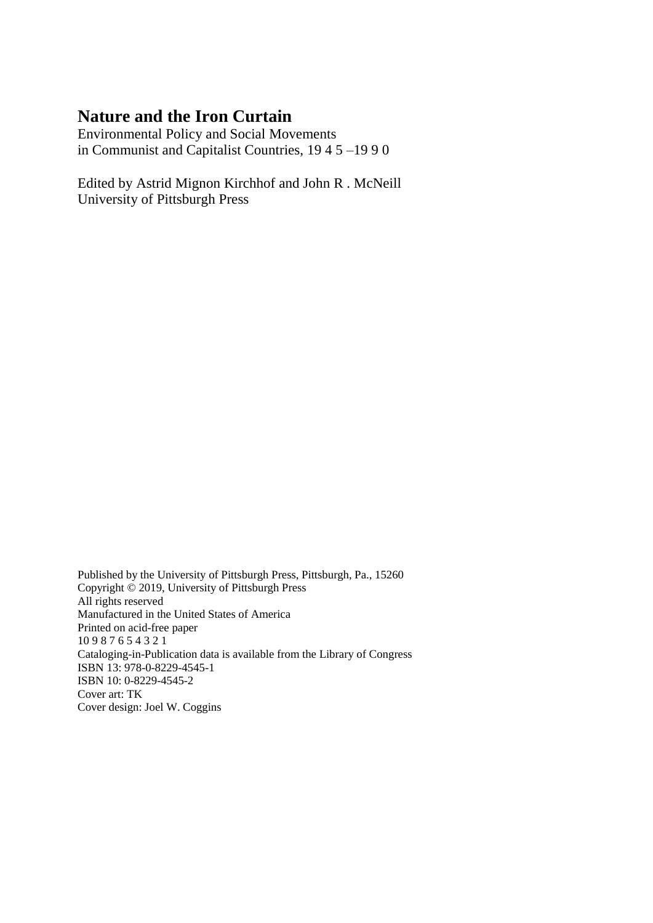## **Nature and the Iron Curtain**

Environmental Policy and Social Movements in Communist and Capitalist Countries, 19 4 5 –19 9 0

Edited by Astrid Mignon Kirchhof and John R . McNeill University of Pittsburgh Press

Published by the University of Pittsburgh Press, Pittsburgh, Pa., 15260 Copyright © 2019, University of Pittsburgh Press All rights reserved Manufactured in the United States of America Printed on acid-free paper 10 9 8 7 6 5 4 3 2 1 Cataloging-in-Publication data is available from the Library of Congress ISBN 13: 978-0-8229-4545-1 ISBN 10: 0-8229-4545-2 Cover art: TK Cover design: Joel W. Coggins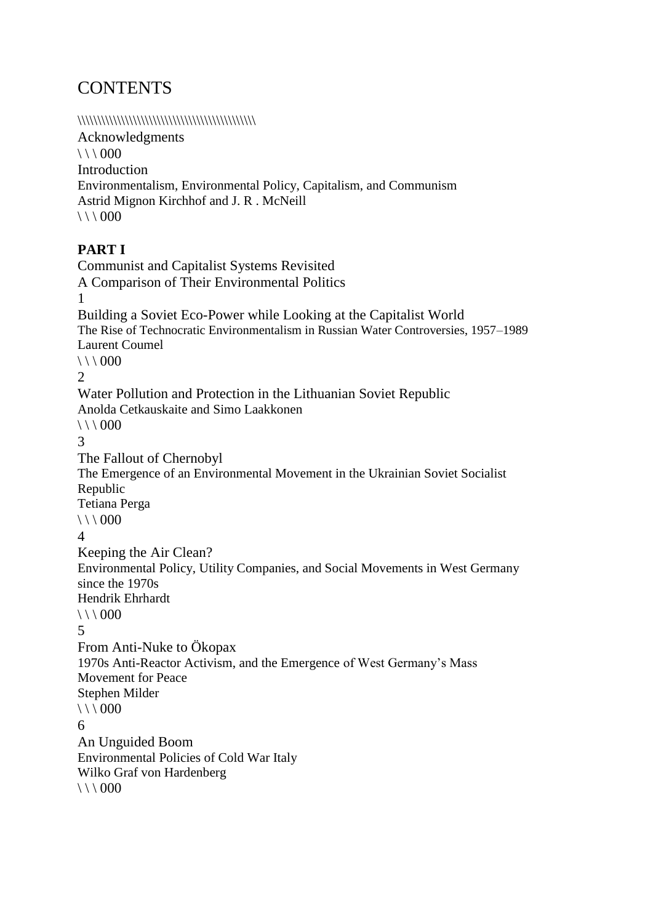# **CONTENTS**

#### \\\\\\\\\\\\\\\\\\\\\\\\\\\\\\\\\\\\\\\\\\\\\

Acknowledgments  $\setminus$  \ 000 Introduction Environmentalism, Environmental Policy, Capitalism, and Communism Astrid Mignon Kirchhof and J. R . McNeill  $\setminus$  \ \ 000

#### **PART I**

```
Communist and Capitalist Systems Revisited
A Comparison of Their Environmental Politics
1
Building a Soviet Eco-Power while Looking at the Capitalist World
The Rise of Technocratic Environmentalism in Russian Water Controversies, 1957–1989
Laurent Coumel
\setminus \ 000
2
Water Pollution and Protection in the Lithuanian Soviet Republic
Anolda Cetkauskaite and Simo Laakkonen 
\setminus \ 000
3
The Fallout of Chernobyl
The Emergence of an Environmental Movement in the Ukrainian Soviet Socialist 
Republic
Tetiana Perga 
\setminus \ \ 000
4
Keeping the Air Clean?
Environmental Policy, Utility Companies, and Social Movements in West Germany 
since the 1970s
Hendrik Ehrhardt 
\setminus \ 000
5
From Anti-Nuke to Ökopax
1970s Anti-Reactor Activism, and the Emergence of West Germany's Mass 
Movement for Peace
Stephen Milder 
\setminus \ 000
6
An Unguided Boom
Environmental Policies of Cold War Italy
Wilko Graf von Hardenberg 
\setminus \ \ 000
```